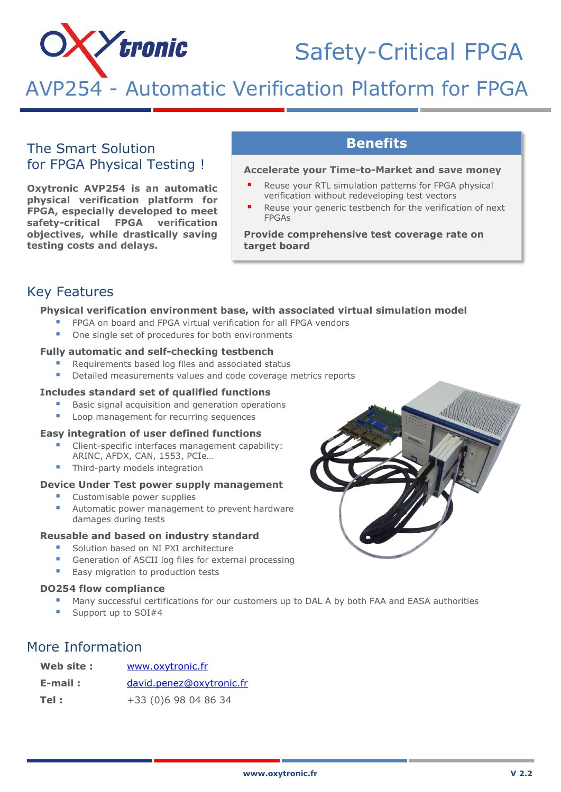# **X***>tronic*

## Safety-Critical FPGA

AVP254 - Automatic Verification Platform for FPGA

### The Smart Solution for FPGA Physical Testing !

**Oxytronic AVP254 is an automatic physical verification platform for FPGA, especially developed to meet safety-critical FPGA verification objectives, while drastically saving testing costs and delays.**

## **Benefits**

#### **Accelerate your Time-to-Market and save money**

- Reuse your RTL simulation patterns for FPGA physical verification without redeveloping test vectors
- Reuse your generic testbench for the verification of next FPGAs

**Provide comprehensive test coverage rate on target board**

## Key Features

#### **Physical verification environment base, with associated virtual simulation model**

- FPGA on board and FPGA virtual verification for all FPGA vendors
- One single set of procedures for both environments

#### **Fully automatic and self-checking testbench**

- Requirements based log files and associated status
- Detailed measurements values and code coverage metrics reports

#### **Includes standard set of qualified functions**

- Basic signal acquisition and generation operations
- Loop management for recurring sequences

#### **Easy integration of user defined functions**

- Client-specific interfaces management capability: ARINC, AFDX, CAN, 1553, PCIe…
- Third-party models integration

#### **Device Under Test power supply management**

- Customisable power supplies
- Automatic power management to prevent hardware damages during tests

#### **Reusable and based on industry standard**

- Solution based on NI PXI architecture
- Generation of ASCII log files for external processing
- Easy migration to production tests

#### **DO254 flow compliance**

- Many successful certifications for our customers up to DAL A by both FAA and EASA authorities
- Support up to SOI#4

## More Information

| Web site : | www.oxytronic.fr         |
|------------|--------------------------|
| $E$ -mail: | david.penez@oxytronic.fr |
| Tel :      | +33 (0)6 98 04 86 34     |

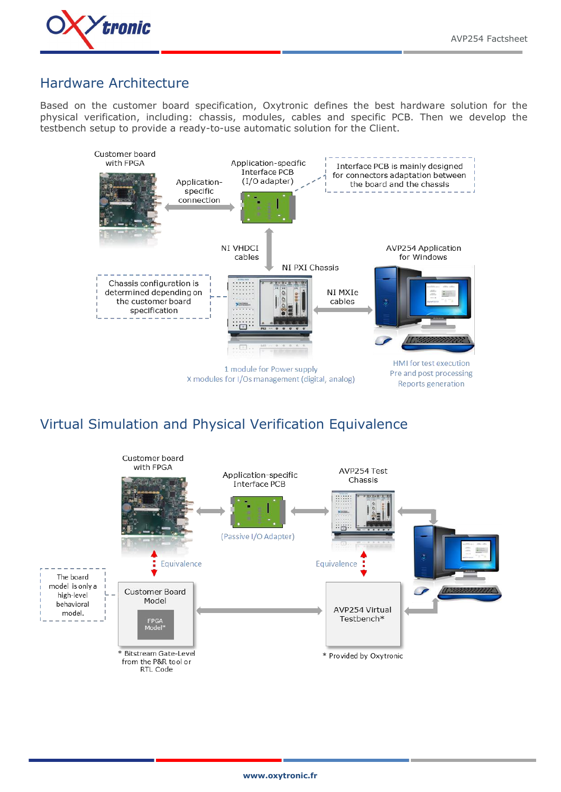

## Hardware Architecture

ī

Based on the customer board specification, Oxytronic defines the best hardware solution for the physical verification, including: chassis, modules, cables and specific PCB. Then we develop the testbench setup to provide a ready-to-use automatic solution for the Client.



## Virtual Simulation and Physical Verification Equivalence

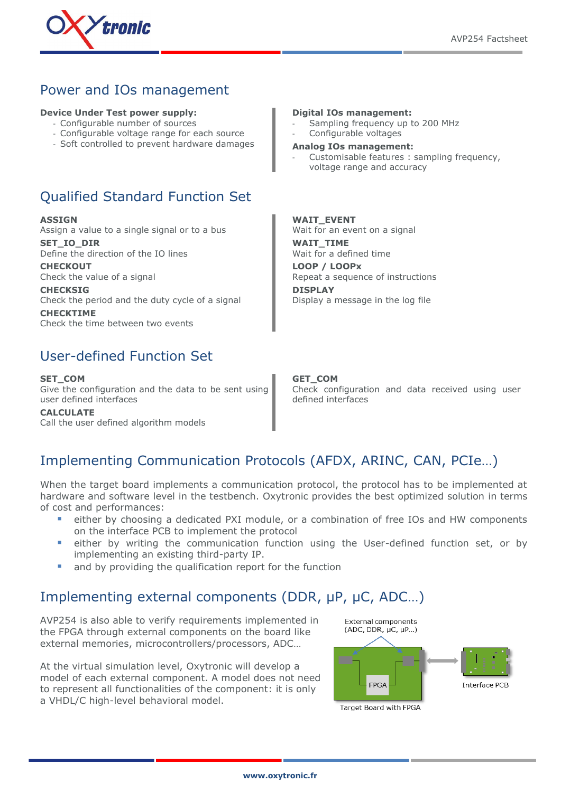

## Power and IOs management

#### **Device Under Test power supply:**

- Configurable number of sources
- Configurable voltage range for each source
- Soft controlled to prevent hardware damages

## Qualified Standard Function Set

**ASSIGN** Assign a value to a single signal or to a bus **SET\_IO\_DIR**

Define the direction of the IO lines

**CHECKOUT** Check the value of a signal

**CHECKSIG** Check the period and the duty cycle of a signal

**CHECKTIME** Check the time between two events

## User-defined Function Set

**SET\_COM** Give the configuration and the data to be sent using user defined interfaces

**CALCULATE** Call the user defined algorithm models

ī

#### **Digital IOs management:**

- Sampling frequency up to 200 MHz Configurable voltages
- **Analog IOs management:**
- Customisable features : sampling frequency, voltage range and accuracy

#### **WAIT\_EVENT**

Wait for an event on a signal **WAIT\_TIME** Wait for a defined time **LOOP / LOOPx** Repeat a sequence of instructions **DISPLAY** Display a message in the log file

#### **GET\_COM**

Check configuration and data received using user defined interfaces

## Implementing Communication Protocols (AFDX, ARINC, CAN, PCIe…)

When the target board implements a communication protocol, the protocol has to be implemented at hardware and software level in the testbench. Oxytronic provides the best optimized solution in terms of cost and performances:

- either by choosing a dedicated PXI module, or a combination of free IOs and HW components on the interface PCB to implement the protocol
- either by writing the communication function using the User-defined function set, or by implementing an existing third-party IP.
- and by providing the qualification report for the function

## Implementing external components (DDR,  $\mu$ P,  $\mu$ C, ADC...)

AVP254 is also able to verify requirements implemented in the FPGA through external components on the board like external memories, microcontrollers/processors, ADC…

At the virtual simulation level, Oxytronic will develop a model of each external component. A model does not need to represent all functionalities of the component: it is only a VHDL/C high-level behavioral model.



Target Board with FPGA